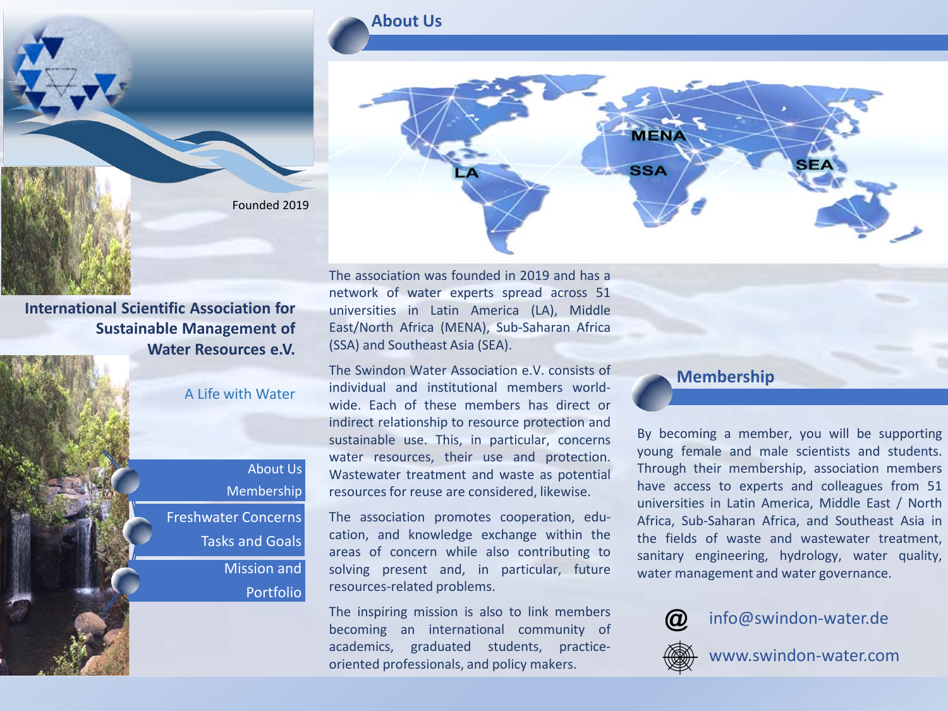

**International Scientific Association for Sustainable Management of Water Resources e.V.**

#### A Life with Water

# About Us Membership Freshwater Concerns Tasks and Goals

Mission and Portfolio

### **About Us**



The association was founded in 2019 and has a network of water experts spread across 51 universities in Latin America (LA), Middle East/North Africa (MENA), Sub-Saharan Africa (SSA) and Southeast Asia (SEA).

The Swindon Water Association e.V. consists of individual and institutional members worldwide. Each of these members has direct or indirect relationship to resource protection and sustainable use. This, in particular, concerns water resources, their use and protection. Wastewater treatment and waste as potential resources for reuse are considered, likewise.

The association promotes cooperation, education, and knowledge exchange within the areas of concern while also contributing to solving present and, in particular, future resources-related problems.

The inspiring mission is also to link members becoming an international community of academics, graduated students, practiceoriented professionals, and policy makers.

#### **Membership**

By becoming a member, you will be supporting young female and male scientists and students. Through their membership, association members have access to experts and colleagues from 51 universities in Latin America, Middle East / North Africa, Sub-Saharan Africa, and Southeast Asia in the fields of waste and wastewater treatment, sanitary engineering, hydrology, water quality, water management and water governance.



info@swindon-water.de



www.swindon-water.com